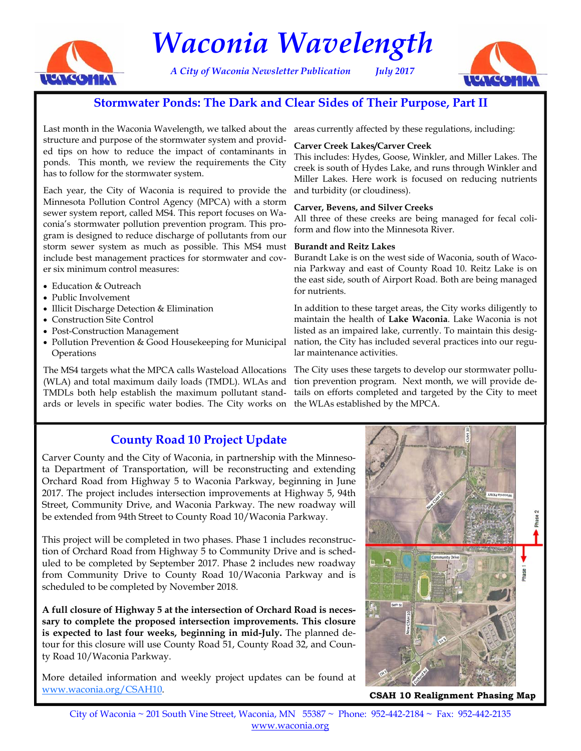

# *Waconia Wavelength*

*A City of Waconia Newsletter Publication July 2017* 



# **Stormwater Ponds: The Dark and Clear Sides of Their Purpose, Part II**

Last month in the Waconia Wavelength, we talked about the areas currently affected by these regulations, including: structure and purpose of the stormwater system and provided tips on how to reduce the impact of contaminants in ponds. This month, we review the requirements the City has to follow for the stormwater system.

Each year, the City of Waconia is required to provide the Minnesota Pollution Control Agency (MPCA) with a storm sewer system report, called MS4. This report focuses on Waconia's stormwater pollution prevention program. This program is designed to reduce discharge of pollutants from our storm sewer system as much as possible. This MS4 must include best management practices for stormwater and cover six minimum control measures:

- Education & Outreach
- Public Involvement
- Illicit Discharge Detection & Elimination
- Construction Site Control
- Post-Construction Management
- Pollution Prevention & Good Housekeeping for Municipal **Operations**

The MS4 targets what the MPCA calls Wasteload Allocations (WLA) and total maximum daily loads (TMDL). WLAs and TMDLs both help establish the maximum pollutant standards or levels in specific water bodies. The City works on the WLAs established by the MPCA.

### **Carver Creek Lakes/Carver Creek**

This includes: Hydes, Goose, Winkler, and Miller Lakes. The creek is south of Hydes Lake, and runs through Winkler and Miller Lakes. Here work is focused on reducing nutrients and turbidity (or cloudiness).

#### **Carver, Bevens, and Silver Creeks**

All three of these creeks are being managed for fecal coliform and flow into the Minnesota River.

#### **Burandt and Reitz Lakes**

Burandt Lake is on the west side of Waconia, south of Waconia Parkway and east of County Road 10. Reitz Lake is on the east side, south of Airport Road. Both are being managed for nutrients.

In addition to these target areas, the City works diligently to maintain the health of **Lake Waconia**. Lake Waconia is not listed as an impaired lake, currently. To maintain this designation, the City has included several practices into our regular maintenance activities.

The City uses these targets to develop our stormwater pollution prevention program. Next month, we will provide details on efforts completed and targeted by the City to meet

# **County Road 10 Project Update**

Carver County and the City of Waconia, in partnership with the Minnesota Department of Transportation, will be reconstructing and extending Orchard Road from Highway 5 to Waconia Parkway, beginning in June 2017. The project includes intersection improvements at Highway 5, 94th Street, Community Drive, and Waconia Parkway. The new roadway will be extended from 94th Street to County Road 10/Waconia Parkway.

This project will be completed in two phases. Phase 1 includes reconstruction of Orchard Road from Highway 5 to Community Drive and is scheduled to be completed by September 2017. Phase 2 includes new roadway from Community Drive to County Road 10/Waconia Parkway and is scheduled to be completed by November 2018.

**A full closure of Highway 5 at the intersection of Orchard Road is necessary to complete the proposed intersection improvements. This closure is expected to last four weeks, beginning in mid-July.** The planned detour for this closure will use County Road 51, County Road 32, and County Road 10/Waconia Parkway.

More detailed information and weekly project updates can be found at www.waconia.org/CSAH10. **CSAH 10 Realignment Phasing Map**